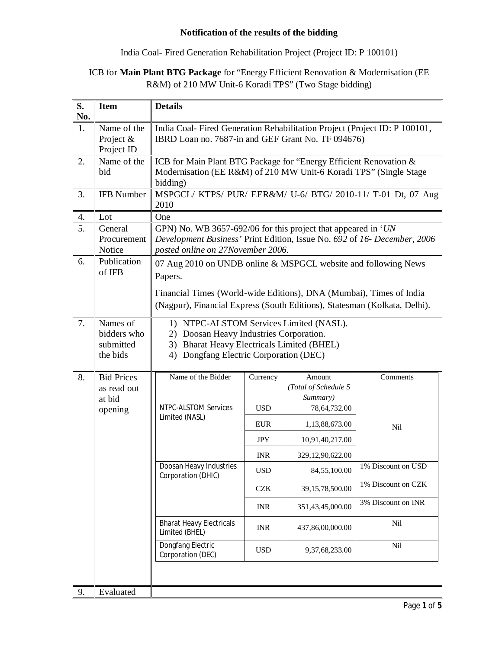### **Notification of the results of the bidding**

India Coal- Fired Generation Rehabilitation Project (Project ID: P 100101)

# ICB for **Main Plant BTG Package** for "Energy Efficient Renovation & Modernisation (EE R&M) of 210 MW Unit-6 Koradi TPS" (Two Stage bidding)

| S.<br>No. | <b>Item</b>                                      | <b>Details</b>                                                                                                                                                                                                                |                 |                                            |                    |
|-----------|--------------------------------------------------|-------------------------------------------------------------------------------------------------------------------------------------------------------------------------------------------------------------------------------|-----------------|--------------------------------------------|--------------------|
| 1.        | Name of the<br>Project &<br>Project ID           | India Coal-Fired Generation Rehabilitation Project (Project ID: P 100101,<br>IBRD Loan no. 7687-in and GEF Grant No. TF 094676)                                                                                               |                 |                                            |                    |
| 2.        | Name of the<br>bid                               | ICB for Main Plant BTG Package for "Energy Efficient Renovation &<br>Modernisation (EE R&M) of 210 MW Unit-6 Koradi TPS" (Single Stage<br>bidding)                                                                            |                 |                                            |                    |
| 3.        | <b>IFB Number</b>                                | MSPGCL/ KTPS/ PUR/ EER&M/ U-6/ BTG/ 2010-11/ T-01 Dt, 07 Aug<br>2010                                                                                                                                                          |                 |                                            |                    |
| 4.        | Lot                                              | One                                                                                                                                                                                                                           |                 |                                            |                    |
| 5.        | General<br>Procurement<br>Notice                 | GPN) No. WB 3657-692/06 for this project that appeared in 'UN<br>Development Business' Print Edition, Issue No. 692 of 16- December, 2006<br>posted online on 27November 2006.                                                |                 |                                            |                    |
| 6.        | Publication<br>of IFB                            | 07 Aug 2010 on UNDB online & MSPGCL website and following News<br>Papers.<br>Financial Times (World-wide Editions), DNA (Mumbai), Times of India<br>(Nagpur), Financial Express (South Editions), Statesman (Kolkata, Delhi). |                 |                                            |                    |
| 7.        | Names of<br>bidders who<br>submitted<br>the bids | 1) NTPC-ALSTOM Services Limited (NASL).<br>2) Doosan Heavy Industries Corporation.<br>3) Bharat Heavy Electricals Limited (BHEL)<br>Dongfang Electric Corporation (DEC)<br>4)                                                 |                 |                                            |                    |
| 8.        | <b>Bid Prices</b><br>as read out<br>at bid       | Name of the Bidder                                                                                                                                                                                                            | Currency        | Amount<br>(Total of Schedule 5<br>Summary) | Comments           |
|           | opening                                          | <b>NTPC-ALSTOM Services</b><br>Limited (NASL)                                                                                                                                                                                 | US <sub>D</sub> | 78,64,732.00                               | Nil                |
|           |                                                  |                                                                                                                                                                                                                               | <b>EUR</b>      | 1,13,88,673.00                             |                    |
|           |                                                  |                                                                                                                                                                                                                               | <b>JPY</b>      | 10,91,40,217.00                            |                    |
|           |                                                  |                                                                                                                                                                                                                               | <b>INR</b>      | 329,12,90,622.00                           |                    |
|           |                                                  | Doosan Heavy Industries<br>Corporation (DHIC)                                                                                                                                                                                 | <b>USD</b>      | 84,55,100.00                               | 1% Discount on USD |
|           |                                                  |                                                                                                                                                                                                                               | <b>CZK</b>      | 39,15,78,500.00                            | 1% Discount on CZK |
|           |                                                  |                                                                                                                                                                                                                               | <b>INR</b>      | 351,43,45,000.00                           | 3% Discount on INR |
|           |                                                  | <b>Bharat Heavy Electricals</b><br>Limited (BHEL)                                                                                                                                                                             | <b>INR</b>      | 437,86,00,000.00                           | Nil                |
|           |                                                  | Dongfang Electric<br>Corporation (DEC)                                                                                                                                                                                        | <b>USD</b>      | 9,37,68,233.00                             | Nil                |
| 9.        | Evaluated                                        |                                                                                                                                                                                                                               |                 |                                            |                    |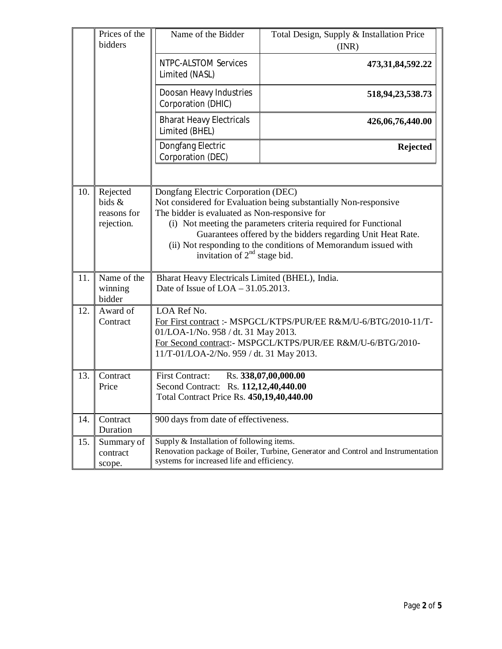|     | Prices of the<br>bidders                        | Name of the Bidder                                                                                                                                                                                                                                                                                                                                                                                        | Total Design, Supply & Installation Price<br>(INR) |
|-----|-------------------------------------------------|-----------------------------------------------------------------------------------------------------------------------------------------------------------------------------------------------------------------------------------------------------------------------------------------------------------------------------------------------------------------------------------------------------------|----------------------------------------------------|
|     |                                                 | NTPC-ALSTOM Services<br>Limited (NASL)                                                                                                                                                                                                                                                                                                                                                                    | 473, 31, 84, 592. 22                               |
|     |                                                 | Doosan Heavy Industries<br>Corporation (DHIC)                                                                                                                                                                                                                                                                                                                                                             | 518,94,23,538.73                                   |
|     |                                                 | <b>Bharat Heavy Electricals</b><br>Limited (BHEL)                                                                                                                                                                                                                                                                                                                                                         | 426,06,76,440.00                                   |
|     |                                                 | Dongfang Electric<br>Corporation (DEC)                                                                                                                                                                                                                                                                                                                                                                    | <b>Rejected</b>                                    |
|     |                                                 |                                                                                                                                                                                                                                                                                                                                                                                                           |                                                    |
| 10. | Rejected<br>bids &<br>reasons for<br>rejection. | Dongfang Electric Corporation (DEC)<br>Not considered for Evaluation being substantially Non-responsive<br>The bidder is evaluated as Non-responsive for<br>(i) Not meeting the parameters criteria required for Functional<br>Guarantees offered by the bidders regarding Unit Heat Rate.<br>(ii) Not responding to the conditions of Memorandum issued with<br>invitation of 2 <sup>nd</sup> stage bid. |                                                    |
| 11. | Name of the<br>winning<br>bidder                | Bharat Heavy Electricals Limited (BHEL), India.<br>Date of Issue of $LOA - 31.05.2013$ .                                                                                                                                                                                                                                                                                                                  |                                                    |
| 12. | Award of<br>Contract                            | LOA Ref No.<br>For First contract: - MSPGCL/KTPS/PUR/EE R&M/U-6/BTG/2010-11/T-<br>01/LOA-1/No. 958 / dt. 31 May 2013.<br>For Second contract:- MSPGCL/KTPS/PUR/EE R&M/U-6/BTG/2010-<br>11/T-01/LOA-2/No. 959 / dt. 31 May 2013.                                                                                                                                                                           |                                                    |
| 13. | Contract<br>Price                               | <b>First Contract:</b><br>Rs. 338,07,00,000.00<br>Second Contract: Rs. 112,12,40,440.00<br>Total Contract Price Rs. 450,19,40,440.00                                                                                                                                                                                                                                                                      |                                                    |
| 14. | Contract<br>Duration                            | 900 days from date of effectiveness.                                                                                                                                                                                                                                                                                                                                                                      |                                                    |
| 15. | Summary of<br>contract<br>scope.                | Supply & Installation of following items.<br>Renovation package of Boiler, Turbine, Generator and Control and Instrumentation<br>systems for increased life and efficiency.                                                                                                                                                                                                                               |                                                    |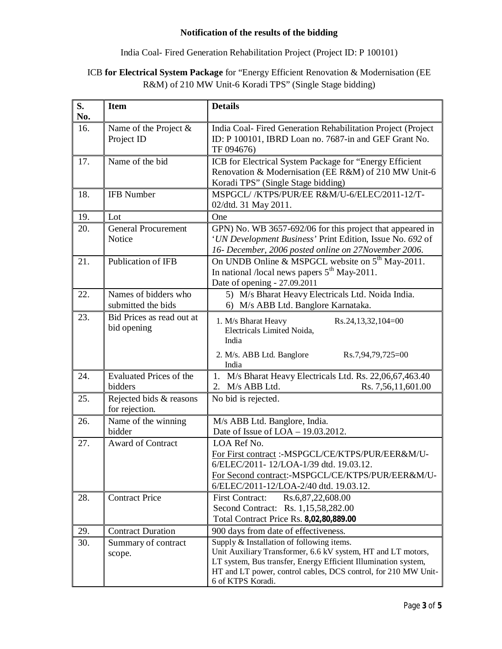### **Notification of the results of the bidding**

### India Coal- Fired Generation Rehabilitation Project (Project ID: P 100101)

# ICB **for Electrical System Package** for "Energy Efficient Renovation & Modernisation (EE R&M) of 210 MW Unit-6 Koradi TPS" (Single Stage bidding)

| S.<br>No. | <b>Item</b>                                | <b>Details</b>                                                                                                                                                                                                                                                     |
|-----------|--------------------------------------------|--------------------------------------------------------------------------------------------------------------------------------------------------------------------------------------------------------------------------------------------------------------------|
| 16.       | Name of the Project &<br>Project ID        | India Coal- Fired Generation Rehabilitation Project (Project<br>ID: P 100101, IBRD Loan no. 7687-in and GEF Grant No.<br>TF 094676)                                                                                                                                |
| 17.       | Name of the bid                            | ICB for Electrical System Package for "Energy Efficient<br>Renovation & Modernisation (EE R&M) of 210 MW Unit-6<br>Koradi TPS" (Single Stage bidding)                                                                                                              |
| 18.       | <b>IFB Number</b>                          | MSPGCL//KTPS/PUR/EE R&M/U-6/ELEC/2011-12/T-<br>02/dtd. 31 May 2011.                                                                                                                                                                                                |
| 19.       | Lot                                        | One                                                                                                                                                                                                                                                                |
| 20.       | <b>General Procurement</b><br>Notice       | GPN) No. WB 3657-692/06 for this project that appeared in<br>'UN Development Business' Print Edition, Issue No. 692 of<br>16- December, 2006 posted online on 27November 2006.                                                                                     |
| 21.       | Publication of IFB                         | On UNDB Online & MSPGCL website on 5 <sup>th</sup> May-2011.<br>In national /local news papers $5th$ May-2011.<br>Date of opening - 27.09.2011                                                                                                                     |
| 22.       | Names of bidders who<br>submitted the bids | 5) M/s Bharat Heavy Electricals Ltd. Noida India.<br>6) M/s ABB Ltd. Banglore Karnataka.                                                                                                                                                                           |
| 23.       | Bid Prices as read out at<br>bid opening   | 1. M/s Bharat Heavy<br>Rs.24,13,32,104=00<br>Electricals Limited Noida,<br>India<br>2. M/s. ABB Ltd. Banglore<br>Rs.7,94,79,725=00                                                                                                                                 |
| 24.       | <b>Evaluated Prices of the</b><br>bidders  | India<br>1. M/s Bharat Heavy Electricals Ltd. Rs. 22,06,67,463.40<br>2. M/s ABB Ltd.<br>Rs. 7,56,11,601.00                                                                                                                                                         |
| 25.       | Rejected bids & reasons<br>for rejection.  | No bid is rejected.                                                                                                                                                                                                                                                |
| 26.       | Name of the winning<br>bidder              | M/s ABB Ltd. Banglore, India.<br>Date of Issue of LOA - 19.03.2012.                                                                                                                                                                                                |
| 27.       | <b>Award of Contract</b>                   | LOA Ref No.<br>For First contract :- MSPGCL/CE/KTPS/PUR/EER&M/U-<br>6/ELEC/2011-12/LOA-1/39 dtd. 19.03.12<br>For Second contract:-MSPGCL/CE/KTPS/PUR/EER&M/U-<br>6/ELEC/2011-12/LOA-2/40 dtd. 19.03.12.                                                            |
| 28.       | <b>Contract Price</b>                      | <b>First Contract:</b><br>Rs.6,87,22,608.00<br><b>Second Contract:</b><br>Rs. 1,15,58,282.00<br>Total Contract Price Rs. 8,02,80,889.00                                                                                                                            |
| 29.       | <b>Contract Duration</b>                   | 900 days from date of effectiveness.                                                                                                                                                                                                                               |
| 30.       | Summary of contract<br>scope.              | Supply & Installation of following items.<br>Unit Auxiliary Transformer, 6.6 kV system, HT and LT motors,<br>LT system, Bus transfer, Energy Efficient Illumination system,<br>HT and LT power, control cables, DCS control, for 210 MW Unit-<br>6 of KTPS Koradi. |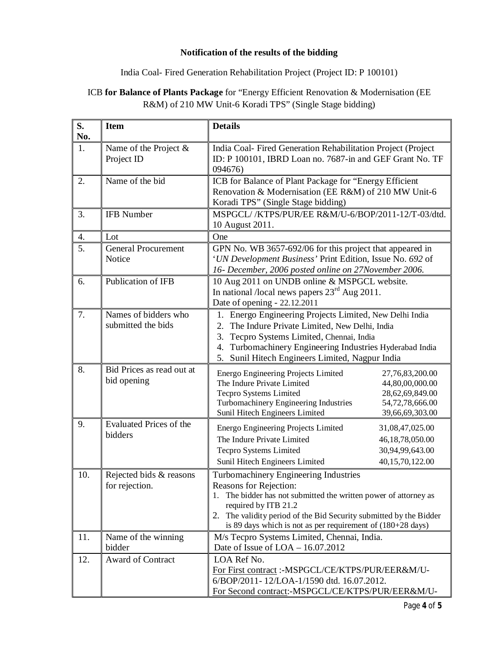### **Notification of the results of the bidding**

### India Coal- Fired Generation Rehabilitation Project (Project ID: P 100101)

# ICB **for Balance of Plants Package** for "Energy Efficient Renovation & Modernisation (EE R&M) of 210 MW Unit-6 Koradi TPS" (Single Stage bidding)

| S.<br>No. | <b>Item</b>                                | <b>Details</b>                                                                                                                                                                                                                                                                                                    |
|-----------|--------------------------------------------|-------------------------------------------------------------------------------------------------------------------------------------------------------------------------------------------------------------------------------------------------------------------------------------------------------------------|
| 1.        | Name of the Project &<br>Project ID        | India Coal- Fired Generation Rehabilitation Project (Project<br>ID: P 100101, IBRD Loan no. 7687-in and GEF Grant No. TF<br>094676)                                                                                                                                                                               |
| 2.        | Name of the bid                            | ICB for Balance of Plant Package for "Energy Efficient<br>Renovation & Modernisation (EE R&M) of 210 MW Unit-6<br>Koradi TPS" (Single Stage bidding)                                                                                                                                                              |
| 3.        | <b>IFB</b> Number                          | MSPGCL//KTPS/PUR/EE R&M/U-6/BOP/2011-12/T-03/dtd.<br>10 August 2011.                                                                                                                                                                                                                                              |
| 4.        | Lot                                        | One                                                                                                                                                                                                                                                                                                               |
| 5.        | <b>General Procurement</b><br>Notice       | GPN No. WB 3657-692/06 for this project that appeared in<br>'UN Development Business' Print Edition, Issue No. 692 of<br>16- December, 2006 posted online on 27November 2006.                                                                                                                                     |
| 6.        | Publication of IFB                         | 10 Aug 2011 on UNDB online & MSPGCL website.<br>In national /local news papers $23rd$ Aug 2011.<br>Date of opening - 22.12.2011                                                                                                                                                                                   |
| 7.        | Names of bidders who<br>submitted the bids | 1. Energo Engineering Projects Limited, New Delhi India<br>The Indure Private Limited, New Delhi, India<br>2.<br>Tecpro Systems Limited, Chennai, India<br>3.<br>Turbomachinery Engineering Industries Hyderabad India<br>4.<br>Sunil Hitech Engineers Limited, Nagpur India<br>5.                                |
| 8.        | Bid Prices as read out at<br>bid opening   | Energo Engineering Projects Limited<br>27,76,83,200.00<br>The Indure Private Limited<br>44,80,00,000.00<br>Tecpro Systems Limited<br>28,62,69,849.00<br>Turbomachinery Engineering Industries<br>54,72,78,666.00<br>Sunil Hitech Engineers Limited<br>39,66,69,303.00                                             |
| 9.        | <b>Evaluated Prices of the</b><br>bidders  | Energo Engineering Projects Limited<br>31,08,47,025.00<br>The Indure Private Limited<br>46,18,78,050.00<br><b>Tecpro Systems Limited</b><br>30,94,99,643.00<br>40,15,70,122.00<br>Sunil Hitech Engineers Limited                                                                                                  |
| 10.       | Rejected bids & reasons<br>for rejection.  | Turbomachinery Engineering Industries<br><b>Reasons for Rejection:</b><br>1. The bidder has not submitted the written power of attorney as<br>required by ITB 21.2<br>2. The validity period of the Bid Security submitted by the Bidder<br>is 89 days which is not as per requirement of $(180+28 \text{ days})$ |
| 11.       | Name of the winning<br>bidder              | M/s Tecpro Systems Limited, Chennai, India.<br>Date of Issue of $LOA - 16.07.2012$                                                                                                                                                                                                                                |
| 12.       | Award of Contract                          | LOA Ref No.<br>For First contract :- MSPGCL/CE/KTPS/PUR/EER&M/U-<br>6/BOP/2011-12/LOA-1/1590 dtd. 16.07.2012.<br>For Second contract:-MSPGCL/CE/KTPS/PUR/EER&M/U-                                                                                                                                                 |